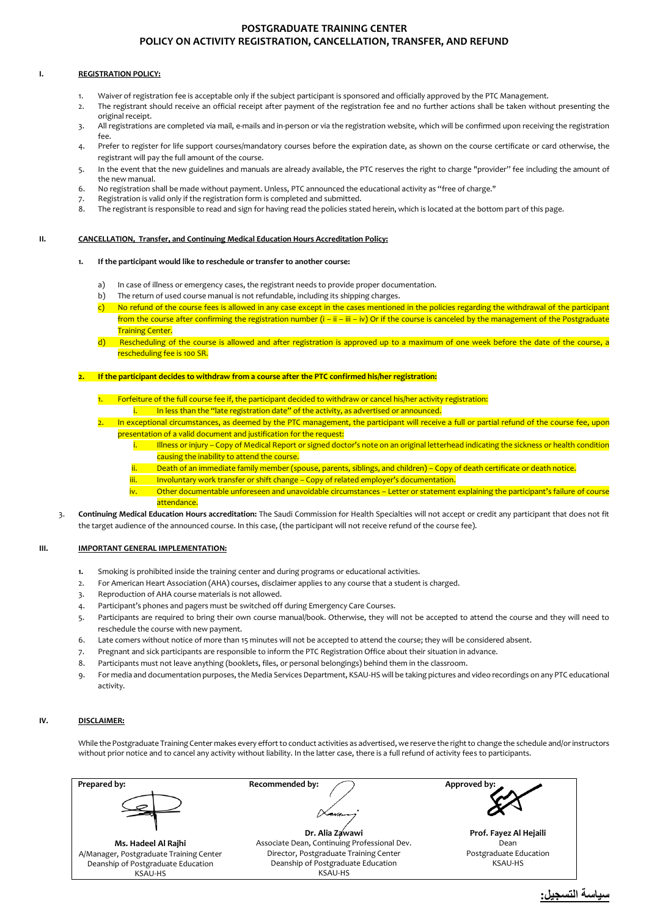## **POSTGRADUATE TRAINING CENTER POLICY ON ACTIVITY REGISTRATION, CANCELLATION, TRANSFER, AND REFUND**

### **I. REGISTRATION POLICY:**

- 1. Waiver of registration fee is acceptable only if the subject participant is sponsored and officially approved by the PTC Management.
- 2. The registrant should receive an official receipt after payment of the registration fee and no further actions shall be taken without presenting the original receipt.
- 3. All registrations are completed via mail, e-mails and in-person or via the registration website, which will be confirmed upon receiving the registration fee.
- 4. Prefer to register for life support courses/mandatory courses before the expiration date, as shown on the course certificate or card otherwise, the registrant will pay the full amount of the course.
- 5. In the event that the new guidelines and manuals are already available, the PTC reserves the right to charge "provider'' fee including the amount of the new manual.
- 6. No registration shall be made without payment. Unless, PTC announced the educational activity as "free of charge."
- 7. Registration is valid only if the registration form is completed and submitted.<br>8. The registrant is responsible to read and sign for having read the policies state
- The registrant is responsible to read and sign for having read the policies stated herein, which is located at the bottom part of this page.

#### **II. CANCELLATION, Transfer, and Continuing Medical Education Hours Accreditation Policy:**

#### **1. If the participant would like to reschedule or transfer to another course:**

- a) In case of illness or emergency cases, the registrant needs to provide proper documentation.
- b) The return of used course manual is not refundable, including its shipping charges.
- c) No refund of the course fees is allowed in any case except in the cases mentioned in the policies regarding the withdrawal of the participant from the course after confirming the registration number (i – ii – iii – iv) Or if the course is canceled by the management of the Postgraduate **Training Center.**
- d) Rescheduling of the course is allowed and after registration is approved up to a maximum of one week before the date of the course, a rescheduling fee is 100 SR.

### **2. If the participant decides to withdraw from a course after the PTC confirmed his/her registration:**

- 1. Forfeiture of the full course fee if, the participant decided to withdraw or cancel his/her activity registration:
	- i. In less than the "late registration date" of the activity, as advertised or announced.
- In exceptional circumstances, as deemed by the PTC management, the participant will receive a full or partial refund of the course fee, upon presentation of a valid document and justification for the request:
	- i. Illness or injury Copy of Medical Report or signed doctor's note on an original letterhead indicating the sickness or health condition causing the inability to attend the course.
	- ii. Death of an immediate family member (spouse, parents, siblings, and children) Copy of death certificate or death notice.
	- iii. Involuntary work transfer or shift change Copy of related employer's documentation.
	- iv. Other documentable unforeseen and unavoidable circumstances Letter or statement explaining the participant's failure of course attendance.
- 3. **Continuing Medical Education Hours accreditation:** The Saudi Commission for Health Specialties will not accept or credit any participant that does not fit the target audience of the announced course. In this case, (the participant will not receive refund of the course fee).

### **III. IMPORTANT GENERAL IMPLEMENTATION:**

- **1.** Smoking is prohibited inside the training center and during programs or educational activities.
- 2. For American Heart Association (AHA) courses, disclaimer applies to any course that a student is charged.
- 3. Reproduction of AHA course materials is not allowed.
- 4. Participant's phones and pagers must be switched off during Emergency Care Courses.
- 5. Participants are required to bring their own course manual/book. Otherwise, they will not be accepted to attend the course and they will need to reschedule the course with new payment.
- 6. Late comers without notice of more than 15 minutes will not be accepted to attend the course; they will be considered absent.
- 7. Pregnant and sick participants are responsible to inform the PTC Registration Office about their situation in advance.
- 8. Participants must not leave anything (booklets, files, or personal belongings) behind them in the classroom.
- 9. For media and documentation purposes, the Media Services Department, KSAU-HS will be taking pictures and video recordings on any PTC educational activity.

### **IV. DISCLAIMER:**

While the Postgraduate Training Center makes every effort to conduct activities as advertised, we reserve the right to change the schedule and/or instructors without prior notice and to cancel any activity without liability. In the latter case, there is a full refund of activity fees to participants.

| Prepared by:                                                                                                           | Recommended by:<br>man                                                                                                                                            | Approved by:                                                        |
|------------------------------------------------------------------------------------------------------------------------|-------------------------------------------------------------------------------------------------------------------------------------------------------------------|---------------------------------------------------------------------|
| Ms. Hadeel Al Rajhi<br>A/Manager, Postgraduate Training Center<br>Deanship of Postgraduate Education<br><b>KSAU-HS</b> | Dr. Alia Zawawi<br>Associate Dean, Continuing Professional Dev.<br>Director, Postgraduate Training Center<br>Deanship of Postgraduate Education<br><b>KSAU-HS</b> | Prof. Fayez Al Hejaili<br>Dean<br>Postgraduate Education<br>KSAU-HS |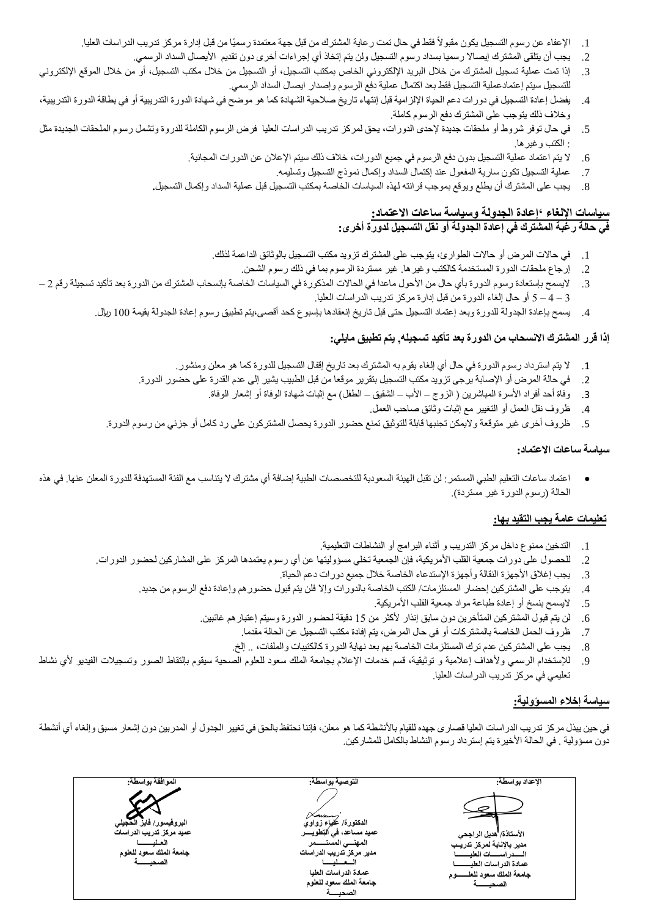- .1 اإلعفاء عن رسوم التسجيل يكون مقبوالً فقط في حال تمت رعاية المشترك من قبل جهة معتمدة رسميًا من قبل إدارة مركز تدريب الدراسات العليا.
	- .2 يجب أن يتلقى المشترك إيصاال رسميا بسداد رسوم التسجيل ولن يتم إتخاذ أي إجراءات أخرى دون تقديم األيصال السداد الرسمي.
- 3. إذا تمت عملية تسجيل المشترك من خلال البريد الإلكتروني الخاص بمكتب التسجيل، أو التسجيل من خلال، أو من إلى من خلال الموقع الإلكتروني للتسجيل سيتم إعتمادعملية التسجيل فقط بعد اكتمال عملية دفع الرسوم وإصدار ايصال السداد الرسمي.
- 4. يفضل إعادة التسجيل في دورات دعم الحياة الإلزامية قبل إنتهاء تاريخ صلاحية الشهادة كما هو موضح في شهادة الدورة التدريبية أو في بطاقة الدورة التدريبية، وخالف ذلك يتوجب على المشترك دفع الرسوم كاملة.
- .5 في حال توفر شروط أو ملحقات جديدة إلحدى الدورات، يحق لمركز تدريب الدراسات العليا فرض الرسوم الكاملة للدروة وتشمل رسوم الملحقات الجديدة مثل : الكتب وغيرها.
	- .6 ال يتم اعتماد عملية التسجيل بدون دفع الرسوم في جميع الدورات، خالف ذلك سيتم اإلعالن عن الدورات المجانية.
		- .7 عملية التسجيل تكون سارية المفعول عند إكتمال السداد وإكمال نموذج التسجيل وتسليمه.
	- .8 يجب على المشترك أن يطلع ويوقع بموجب قرائته لهذه السياسات الخاصة بمكتب التسجيل قبل عملية السداد وإكمال التسجيل**.**

## **سياسات اإللغاء 'إعادة الجدولة وسياسة ساعات االعتماد: في حالة رغبة المشترك في إعادة الجدولة أو نقل التسجيل لدورة أخرى:**

- .1 في حاالت المرض أو حاالت الطوارئ، يتوجب على المشترك تزويد مكتب التسجيل بالوثائق الداعمة لذلك.
	- .2 إرجاع ملحقات الدورة المستخدمة كالكتب وغيرها. غير مستردة الرسوم بما في ذلك رسوم الشحن.
- 3. لايسمح بإستعادة رسوم الدورة بأي حال من الأحول ماعدا في الحالات المذكورة في السياسات الخاصة بإنسحاب المشترك من الدورة بعد تأكيد تسجيلة رقم 2 3 – 4 – 5 أو حال إلغاء الدورة من قبل إدارة مركز تدريب الدراسات العليا.
	- 4. يسمح بإعادة الجدولة للدورة وبعد إعتماد التسجيل حتى قبل تاريخ إنعقادها بإسبوع كحد أقصى،يتم تطبيق رسوم إعادة الجدولة بقيمة 100 ريال.

## **إذا قرر المشترك االنسحاب من الدورة بعد تأكيد تسجيله, يتم تطبيق مايلي:**

- .1 ال يتم استرداد رسوم الدورة في حال أي إلغاء يقوم به المشترك بعد تاريخ إقفال التسجيل للدورة كما هو معلن ومنشور.
- .2 في حالة المرض أو اإلصابة يرجى تزويد مكتب التسجيل بتقرير موقعا من قبل الطبيب يشير إلى عدم القدرة على حضور الدورة.
	- 3. وفاة أحد أفراد الأسرة المباشرين ( الزوج الأب الشقيق الطفل) مع إثبات شهادة الوفاة أو إشعار الوفاة.
		- .4 ظروف نقل العمل أو التغيير مع إثبات وثائق صاحب العمل.
- .5 ظروف أخرى غير متوقعة واليمكن تجنبها قابلة للتوثيق تمنع حضور الدورة يحصل المشتركون على رد كامل أو جزئي من رسوم الدورة.

## **سياسة ساعات االعتماد:**

 اعتماد ساعات التعليم الطبي المستمر: لن تقبل الهيئة السعودية للتخصصات الطبية إضافة أي مشترك ال يتناسب مع الفئة المستهدفة للدورة المعلن عنها. في هذه الحالة (رسوم الدورة غير مستردة).

## **تعليمات عامة يجب التقيد بها:**

- .1 التدخين ممنوع داخل مركز التدريب و أثناء البرامج أو النشاطات التعليمية.
- .2 للحصول على دورات جمعية القلب األمريكية، فإن الجمعية تخلي مسؤوليتها عن أي رسوم يعتمدها المركز على المشاركين لحضور الدورات.
	- 3. يجب إغلاق الأجهزة النقالة وأجهزة الإستدعاء الخاصة خلال جميع دورات دعم الحياة.
	- .4 يتوجب على المشتركين إحضار المستلزمات/ الكتب الخاصة بالدورات وإال فلن يتم قبول حضورهم وإعادة دفع الرسوم من جديد.
		- 5. لايسمح بنسخ أو إعادة طباعة مواد جمعية القلب الأمريكية.
		- .6 لن يتم قبول المشتركين المتأخرين دون سابق إنذار ألكثر من 15 دقيقة لحضور الدورة وسيتم إعتبارهم غائبين.
			- .7 ظروف الحمل الخاصة بالمشتركات أو في حال المرض، يتم إفادة مكتب التسجيل عن الحالة مقدما.
			- .8 يجب على المشتركين عدم ترك المستلزمات الخاصة بهم بعد نهاية الدورة كالكتيبات والملفات، .. إلخ.
- 9. للإستخدام الرسمي ولأهداف إعلامية و توثيقية، قسم خدمات الإعلام بجامعة الملك سعود للعلوم الصحية سيقوم بإلتقاط الصور وتسجيلات الفيديو لأي نشاط تعليمي في مركز تدريب الدراسات العليا.

## **سياسة إخالء المسؤولية:**

في حين يبذل مركز تدريب الدراسات العليا قصارى جهده للقيام بالأنشطة كما هو معلن، فإننا نحتفظ بالحق في تغيير الجدول أو المدربين دون إشعار مسبق وإلغاء أي أنشطة دون مسؤولية . في الحالة األخيرة يتم إسترداد رسوم النشاط بالكامل للمشاركين.

| الموافقة بواسطة:         | التوصية بواسطة:                                     | الإعداد بواسطة:                                |
|--------------------------|-----------------------------------------------------|------------------------------------------------|
|                          |                                                     |                                                |
|                          | $1$ $\mu$                                           |                                                |
| البروفيسور/ فايز الكجيلي | الدكتورة/ عُليلِء زواوي                             |                                                |
| عميد مركز تدريب الدراسات | عميد مساعد، في التطويـــــــــر<br>المهنسي المستسمر | الأستاذة/ هديل الراجحي                         |
| جامعة الملك سعود للعلوم  | مدير مركز تدريب الدراسات                            | مدير بالإنابة لمركز تدريب<br>السدراسسات العليس |
| الصحب                    | السعسليسا                                           | عمادة الدراسات العليــ                         |
|                          | عمادة الدراسات العليا                               | جامعة الملك سعود للعلـــــــوم                 |
|                          | جامعة الملك سعود للعلوم<br>الصحد                    | الصحد                                          |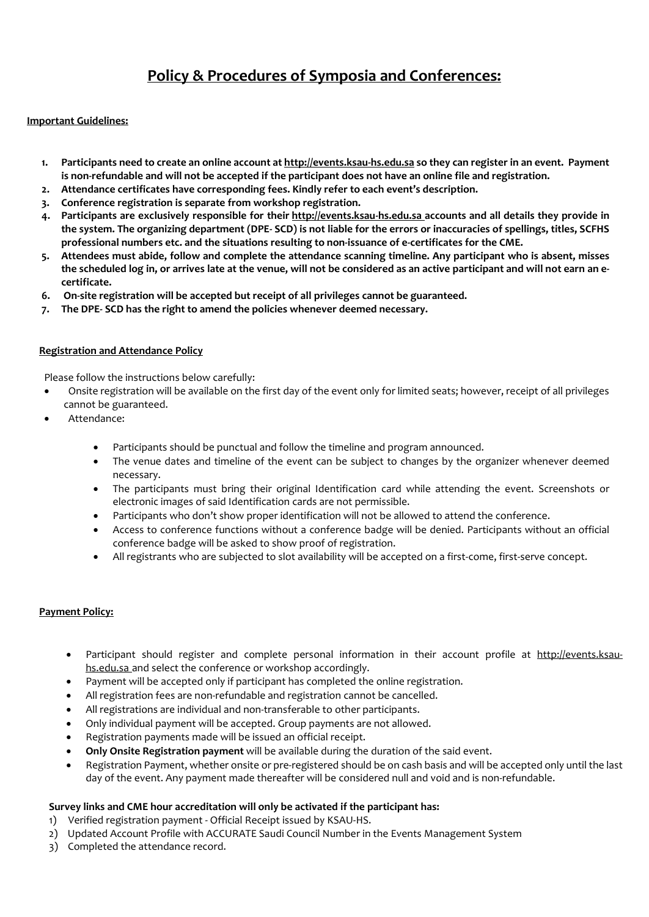# **Policy & Procedures of Symposia and Conferences:**

### **Important Guidelines:**

- 1. Participants need to create an online account at http://events.ksau-hs.edu.sa so they can register in an event. Payment is non-refundable and will not be accepted if the participant does not have an online file and registration.
- **2. Attendance certificates have corresponding fees. Kindly refer to each event's description.**
- **3. Conference registration is separate from workshop registration.**
- 4. Participants are exclusively responsible for their [http://events.ksau-hs.edu.sa](http://events.ksau-hs.edu.sa/) accounts and all details they provide in the system. The organizing department (DPE-SCD) is not liable for the errors or inaccuracies of spellings, titles, SCFHS **professional numbers etc. and the situations resulting to non-issuance of e-certificates for the CME.**
- 5. Attendees must abide, follow and complete the attendance scanning timeline. Any participant who is absent, misses the scheduled log in, or arrives late at the venue, will not be considered as an active participant and will not earn an e**certificate.**
- **6. On-site registration will be accepted but receipt of all privileges cannot be guaranteed.**
- **7. The DPE- SCD has the right to amend the policies whenever deemed necessary.**

## **Registration and Attendance Policy**

Please follow the instructions below carefully:

- Onsite registration will be available on the first day of the event only for limited seats; however, receipt of all privileges cannot be guaranteed.
- Attendance:
	- Participants should be punctual and follow the timeline and program announced.
	- The venue dates and timeline of the event can be subject to changes by the organizer whenever deemed necessary.
	- The participants must bring their original Identification card while attending the event. Screenshots or electronic images of said Identification cards are not permissible.
	- Participants who don't show proper identification will not be allowed to attend the conference.
	- Access to conference functions without a conference badge will be denied. Participants without an official conference badge will be asked to show proof of registration.
	- All registrants who are subjected to slot availability will be accepted on a first-come, first-serve concept.

## **Payment Policy:**

- Participant should register and complete personal information in their account profile at [http://events.ksau](http://events.ksau-hs.edu.sa/)[hs.edu.sa](http://events.ksau-hs.edu.sa/) and select the conference or workshop accordingly.
- Payment will be accepted only if participant has completed the online registration.
- All registration fees are non-refundable and registration cannot be cancelled.
- All registrations are individual and non-transferable to other participants.
- Only individual payment will be accepted. Group payments are not allowed.
- Registration payments made will be issued an official receipt.
- **Only Onsite Registration payment** will be available during the duration of the said event.
- Registration Payment, whether onsite or pre-registered should be on cash basis and will be accepted only until the last day of the event. Any payment made thereafter will be considered null and void and is non-refundable.

## **Survey links and CME hour accreditation will only be activated if the participant has:**

- 1) Verified registration payment Official Receipt issued by KSAU-HS.
- 2) Updated Account Profile with ACCURATE Saudi Council Number in the Events Management System
- 3) Completed the attendance record.